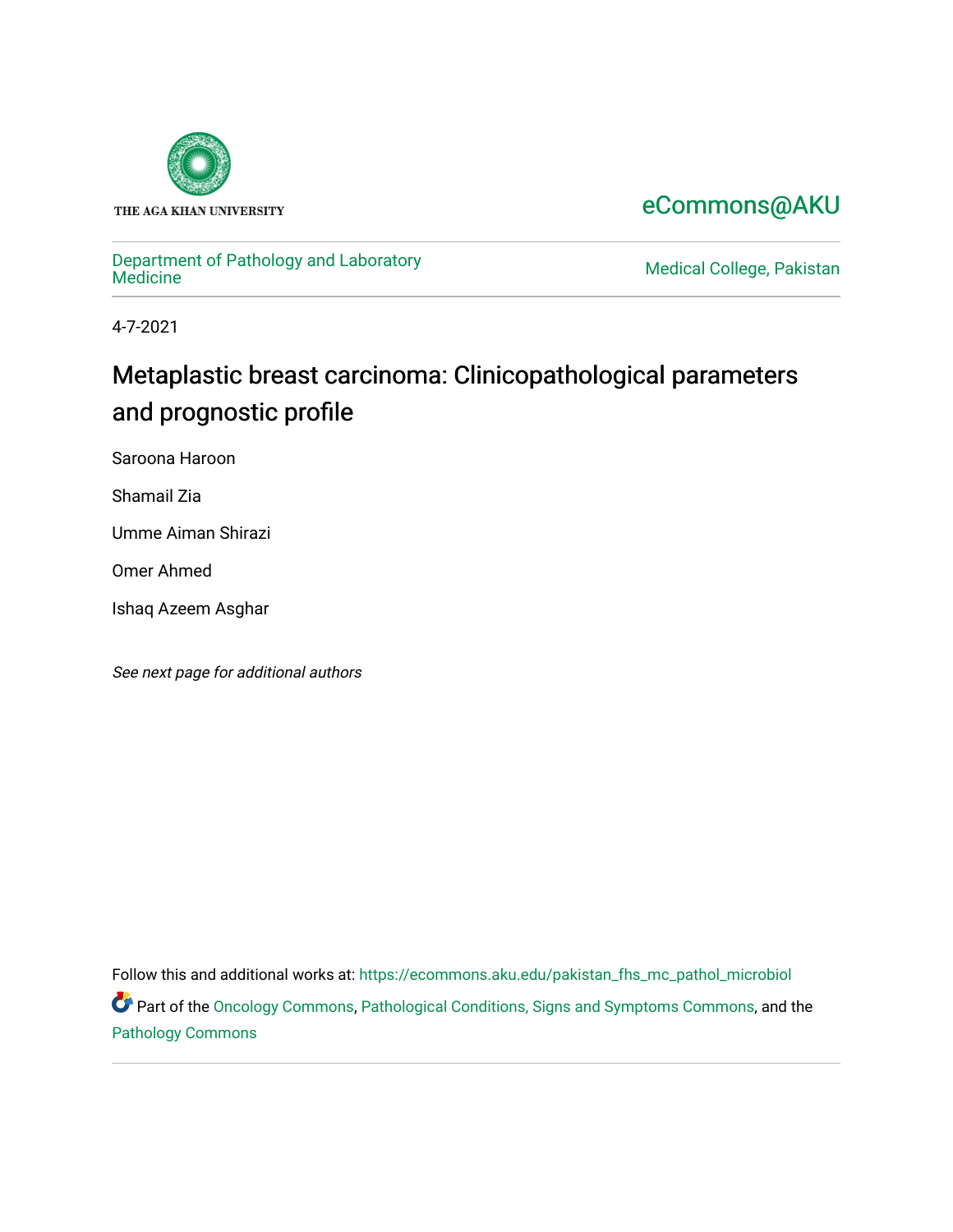

## [eCommons@AKU](https://ecommons.aku.edu/)

# [Department of Pathology and Laboratory](https://ecommons.aku.edu/pakistan_fhs_mc_pathol_microbiol)

Medical College, Pakistan

4-7-2021

# Metaplastic breast carcinoma: Clinicopathological parameters and prognostic profile

Saroona Haroon

Shamail Zia

Umme Aiman Shirazi

Omer Ahmed

Ishaq Azeem Asghar

See next page for additional authors

Follow this and additional works at: [https://ecommons.aku.edu/pakistan\\_fhs\\_mc\\_pathol\\_microbiol](https://ecommons.aku.edu/pakistan_fhs_mc_pathol_microbiol?utm_source=ecommons.aku.edu%2Fpakistan_fhs_mc_pathol_microbiol%2F1331&utm_medium=PDF&utm_campaign=PDFCoverPages) 

Part of the [Oncology Commons,](http://network.bepress.com/hgg/discipline/694?utm_source=ecommons.aku.edu%2Fpakistan_fhs_mc_pathol_microbiol%2F1331&utm_medium=PDF&utm_campaign=PDFCoverPages) [Pathological Conditions, Signs and Symptoms Commons,](http://network.bepress.com/hgg/discipline/1004?utm_source=ecommons.aku.edu%2Fpakistan_fhs_mc_pathol_microbiol%2F1331&utm_medium=PDF&utm_campaign=PDFCoverPages) and the [Pathology Commons](http://network.bepress.com/hgg/discipline/699?utm_source=ecommons.aku.edu%2Fpakistan_fhs_mc_pathol_microbiol%2F1331&utm_medium=PDF&utm_campaign=PDFCoverPages)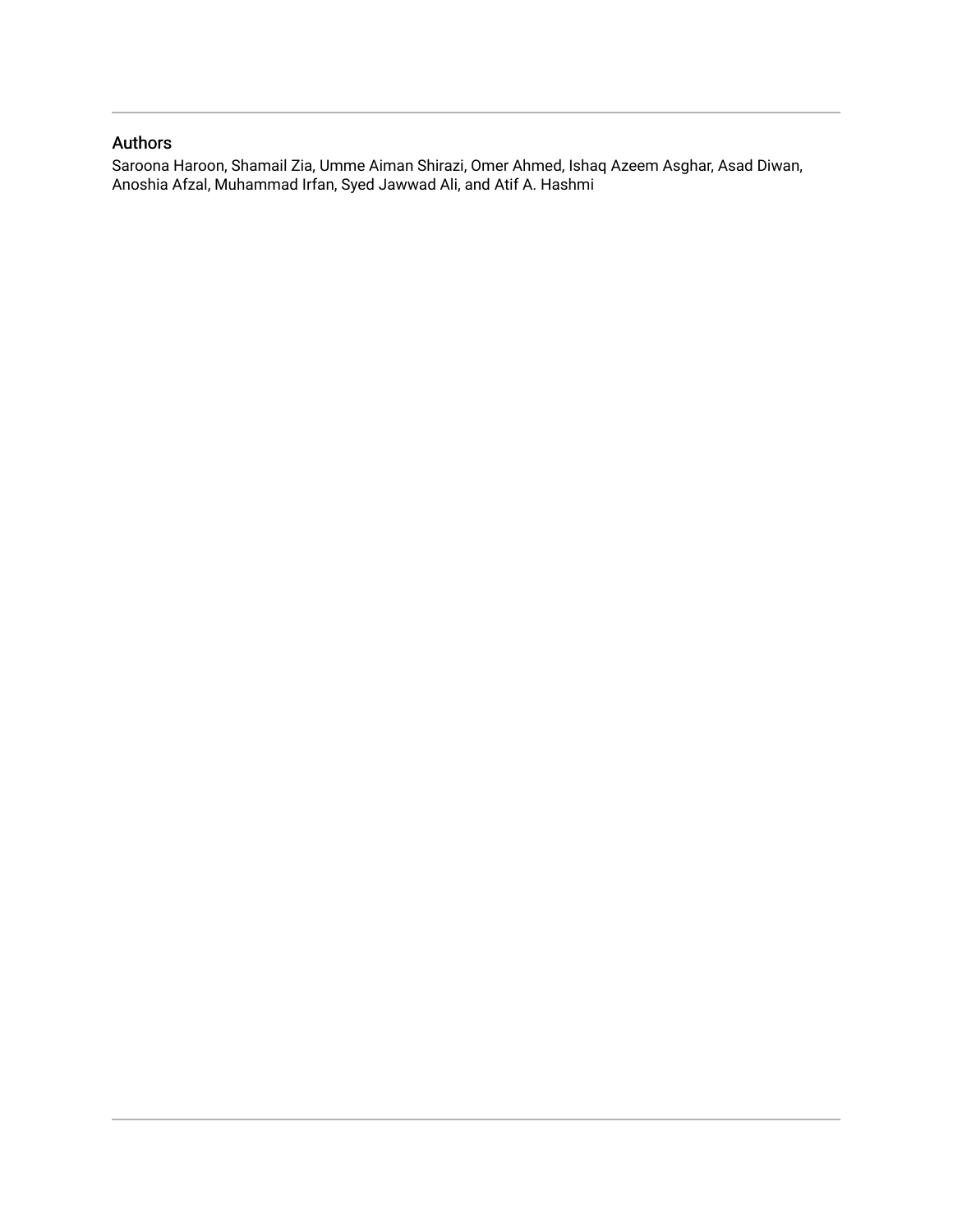### Authors

<span id="page-1-0"></span>Saroona Haroon, Shamail Zia, Umme Aiman Shirazi, Omer Ahmed, Ishaq Azeem Asghar, Asad Diwan, Anoshia Afzal, Muhammad Irfan, Syed Jawwad Ali, and Atif A. Hashmi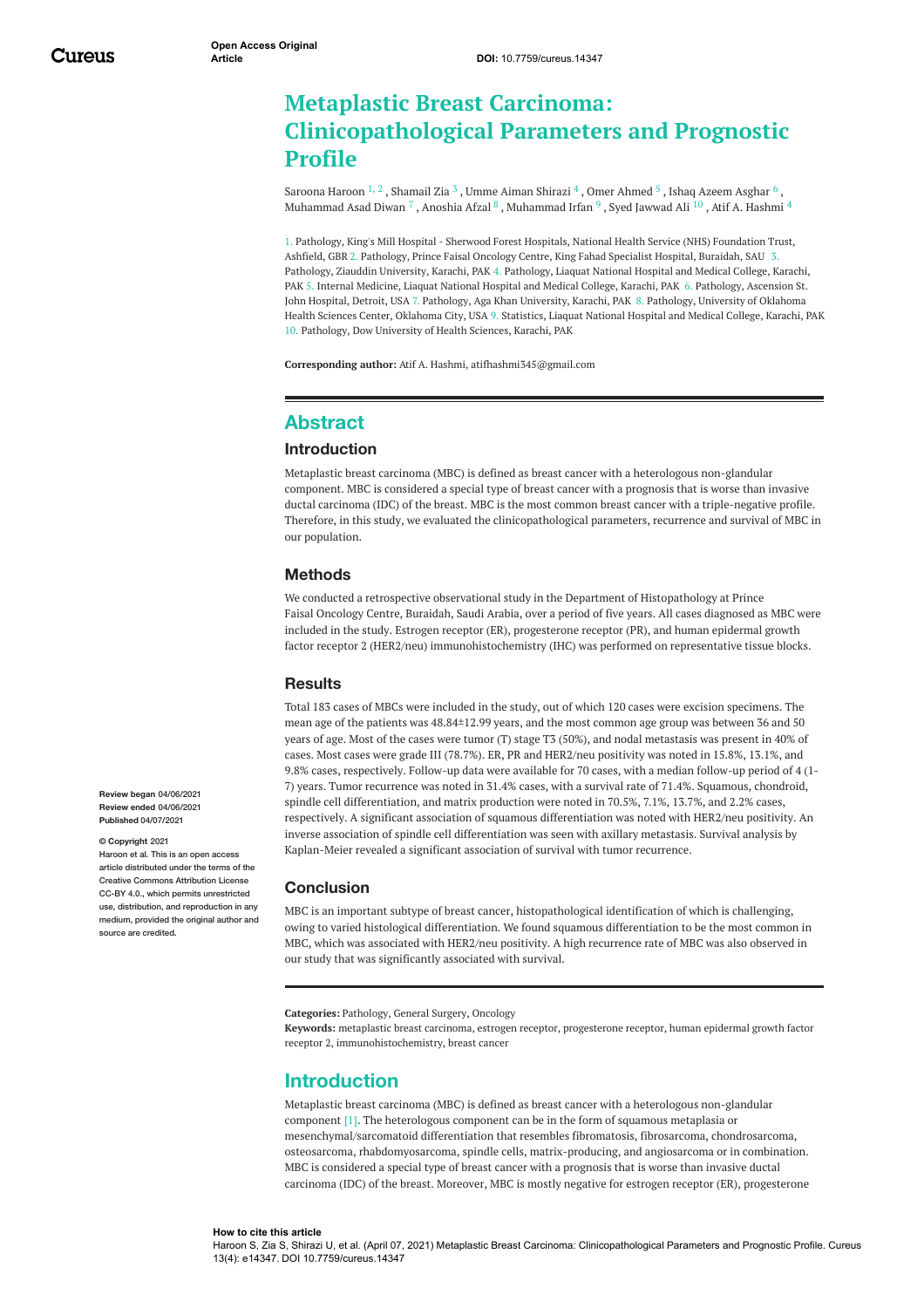### <span id="page-2-0"></span>**Metaplastic Breast Carcinoma: Clinicopathological Parameters and Prognostic Profile**

[Saroona](https://www.cureus.com/users/97428-saroona-haroon) Haroon  $^{1,\,2}$  , [Shamail](https://www.cureus.com/users/225301-shamail-zia) Zia  $^3$  , Umme Aiman [Shirazi](https://www.cureus.com/users/221007-umme-aiman-shirazi)  $^4$  , Omer [Ahmed](https://www.cureus.com/users/206163-omer-ahmed)  $^5$  , Ishaq Azeem [Asghar](https://www.cureus.com/users/215272-ishaq-azeem-asghar)  $^6$  , [Muhammad](https://www.cureus.com/users/169040-muhammad-irfan) Asad Diwan  $^7$  , [Anoshia](https://www.cureus.com/users/40515-anoshia-afzal) Afzal  $^8$  , Muhammad Irfan  $^9$  , Syed [Jawwad](https://www.cureus.com/users/225511-syed-jawwad-ali) Ali  $^{10}$  , Atif A. [Hashmi](https://www.cureus.com/users/109517-atif-a-hashmi)  $^4$ 

1. Pathology, King's Mill Hospital - Sherwood Forest Hospitals, National Health Service (NHS) Foundation Trust, Ashfield, GBR 2. Pathology, Prince Faisal Oncology Centre, King Fahad Specialist Hospital, Buraidah, SAU 3. Pathology, Ziauddin University, Karachi, PAK 4. Pathology, Liaquat National Hospital and Medical College, Karachi, PAK 5. Internal Medicine, Liaquat National Hospital and Medical College, Karachi, PAK 6. Pathology, Ascension St. John Hospital, Detroit, USA 7. Pathology, Aga Khan University, Karachi, PAK 8. Pathology, University of Oklahoma Health Sciences Center, Oklahoma City, USA 9. Statistics, Liaquat National Hospital and Medical College, Karachi, PAK 10. Pathology, Dow University of Health Sciences, Karachi, PAK

**Corresponding author:** Atif A. Hashmi, atifhashmi345@gmail.com

#### **Abstract**

#### **Introduction**

Metaplastic breast carcinoma (MBC) is defined as breast cancer with a heterologous non-glandular component. MBC is considered a special type of breast cancer with a prognosis that is worse than invasive ductal carcinoma (IDC) of the breast. MBC is the most common breast cancer with a triple-negative profile. Therefore, in this study, we evaluated the clinicopathological parameters, recurrence and survival of MBC in our population.

#### **Methods**

We conducted a retrospective observational study in the Department of Histopathology at Prince Faisal Oncology Centre, Buraidah, Saudi Arabia, over a period of five years. All cases diagnosed as MBC were included in the study. Estrogen receptor (ER), progesterone receptor (PR), and human epidermal growth factor receptor 2 (HER2/neu) immunohistochemistry (IHC) was performed on representative tissue blocks.

#### **Results**

Total 183 cases of MBCs were included in the study, out of which 120 cases were excision specimens. The mean age of the patients was 48.84±12.99 years, and the most common age group was between 36 and 50 years of age. Most of the cases were tumor (T) stage T3 (50%), and nodal metastasis was present in 40% of cases. Most cases were grade III (78.7%). ER, PR and HER2/neu positivity was noted in 15.8%, 13.1%, and 9.8% cases, respectively. Follow-up data were available for 70 cases, with a median follow-up period of 4 (1- 7) years. Tumor recurrence was noted in 31.4% cases, with a survival rate of 71.4%. Squamous, chondroid, spindle cell differentiation, and matrix production were noted in 70.5%, 7.1%, 13.7%, and 2.2% cases, respectively. A significant association of squamous differentiation was noted with HER2/neu positivity. An inverse association of spindle cell differentiation was seen with axillary metastasis. Survival analysis by Kaplan-Meier revealed a significant association of survival with tumor recurrence.

#### **Conclusion**

MBC is an important subtype of breast cancer, histopathological identification of which is challenging, owing to varied histological differentiation. We found squamous differentiation to be the most common in MBC, which was associated with HER2/neu positivity. A high recurrence rate of MBC was also observed in our study that was significantly associated with survival.

**Categories:** Pathology, General Surgery, Oncology

**Keywords:** metaplastic breast carcinoma, estrogen receptor, progesterone receptor, human epidermal growth factor receptor 2, immunohistochemistry, breast cancer

#### **Introduction**

Metaplastic breast carcinoma (MBC) is defined as breast cancer with a heterologous non-glandular component [1]. The heterologous component can be in the form of squamous metaplasia or mesenchymal/sarcomatoid differentiation that resembles fibromatosis, fibrosarcoma, chondrosarcoma, osteosarcoma, rhabdomyosarcoma, spindle cells, matrix-producing, and angiosarcoma or in combination. MBC is considered a special type of breast cancer with a prognosis that is worse than invasive ductal carcinoma (IDC) of the breast. Moreover, MBC is mostly negative for estrogen receptor (ER), progesterone

**Review began** 04/06/2021 **Review ended** 04/06/2021 **Published** 04/07/2021

#### **© Copyright** 2021

Haroon et al. This is an open access article distributed under the terms of the Creative Commons Attribution License CC-BY 4.0., which permits unrestricted use, distribution, and reproduction in any medium, provided the original author and source are credited.

#### **How to cite this article**

Haroon S, Zia S, Shirazi U, et al. (April 07, 2021) Metaplastic Breast Carcinoma: Clinicopathological Parameters and Prognostic Profile. Cureus 13(4): e14347. DOI 10.7759/cureus.14347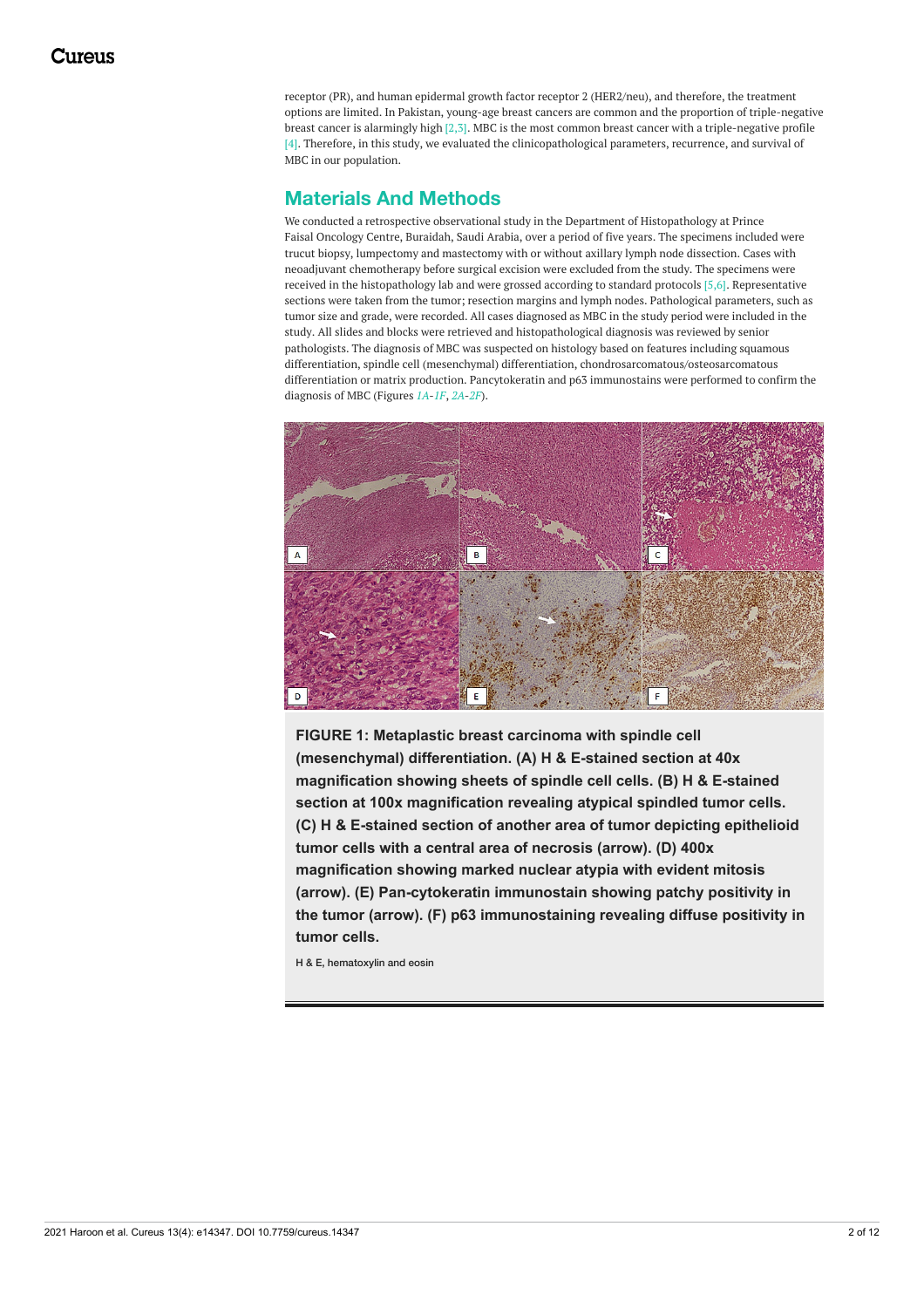<span id="page-3-0"></span>receptor (PR), and human epidermal growth factor receptor 2 (HER2/neu), and therefore, the treatment options are limited. In Pakistan, young-age breast cancers are common and the proportion of triple-negative breast cancer is alarmingly high [2,3]. MBC is the most common breast cancer with a triple-negative profile [4]. Therefore, in this study, we evaluated the clinicopathological parameters, recurrence, and survival of MBC in our population.

### **Materials And Methods**

We conducted a retrospective observational study in the Department of Histopathology at Prince Faisal Oncology Centre, Buraidah, Saudi Arabia, over a period of five years. The specimens included were trucut biopsy, lumpectomy and mastectomy with or without axillary lymph node dissection. Cases with neoadjuvant chemotherapy before surgical excision were excluded from the study. The specimens were received in the histopathology lab and were grossed according to standard protocols [5,6]. Representative sections were taken from the tumor; resection margins and lymph nodes. Pathological parameters, such as tumor size and grade, were recorded. All cases diagnosed as MBC in the study period were included in the study. All slides and blocks were retrieved and histopathological diagnosis was reviewed by senior pathologists. The diagnosis of MBC was suspected on histology based on features including squamous differentiation, spindle cell (mesenchymal) differentiation, chondrosarcomatous/osteosarcomatous differentiation or matrix production. Pancytokeratin and p63 immunostains were performed to confirm the diagnosis of MBC (Figures *[1A](#page-1-0)*-*[1F](#page-1-0)*, *[2A](#page-2-0)*-*[2F](#page-2-0)*).



**FIGURE 1: Metaplastic breast carcinoma with spindle cell (mesenchymal) differentiation. (A) H & E-stained section at 40x magnification showing sheets of spindle cell cells. (B) H & E-stained section at 100x magnification revealing atypical spindled tumor cells. (C) H & E-stained section of another area of tumor depicting epithelioid tumor cells with a central area of necrosis (arrow). (D) 400x magnification showing marked nuclear atypia with evident mitosis (arrow). (E) Pan-cytokeratin immunostain showing patchy positivity in the tumor (arrow). (F) p63 immunostaining revealing diffuse positivity in tumor cells.**

H & E, hematoxylin and eosin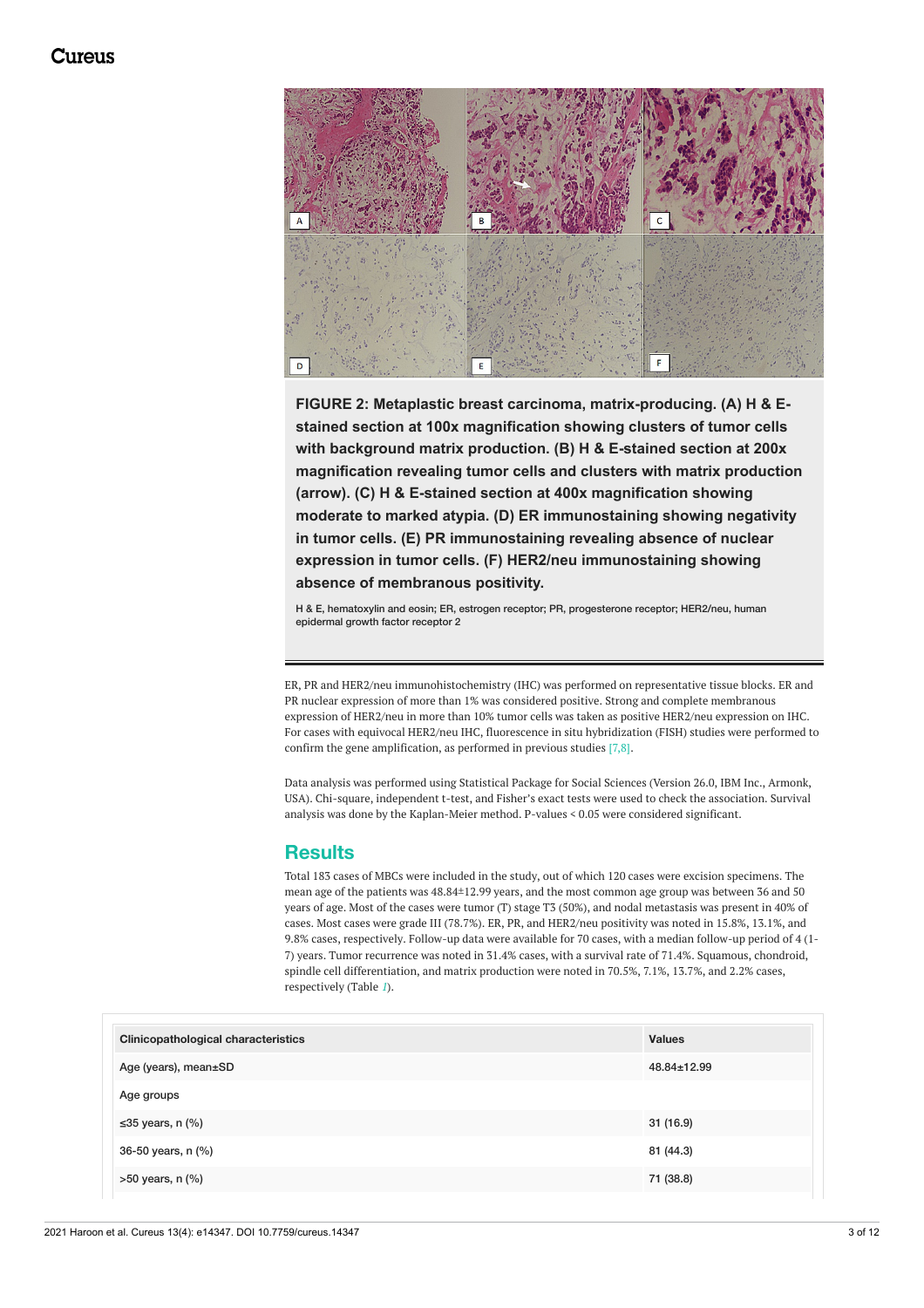

**FIGURE 2: Metaplastic breast carcinoma, matrix-producing. (A) H & Estained section at 100x magnification showing clusters of tumor cells with background matrix production. (B) H & E-stained section at 200x magnification revealing tumor cells and clusters with matrix production (arrow). (C) H & E-stained section at 400x magnification showing moderate to marked atypia. (D) ER immunostaining showing negativity in tumor cells. (E) PR immunostaining revealing absence of nuclear expression in tumor cells. (F) HER2/neu immunostaining showing absence of membranous positivity.**

H & E, hematoxylin and eosin; ER, estrogen receptor; PR, progesterone receptor; HER2/neu, human epidermal growth factor receptor 2

ER, PR and HER2/neu immunohistochemistry (IHC) was performed on representative tissue blocks. ER and PR nuclear expression of more than 1% was considered positive. Strong and complete membranous expression of HER2/neu in more than 10% tumor cells was taken as positive HER2/neu expression on IHC. For cases with equivocal HER2/neu IHC, fluorescence in situ hybridization (FISH) studies were performed to confirm the gene amplification, as performed in previous studies [7,8].

Data analysis was performed using Statistical Package for Social Sciences (Version 26.0, IBM Inc., Armonk, USA). Chi-square, independent t-test, and Fisher's exact tests were used to check the association. Survival analysis was done by the Kaplan-Meier method. P-values < 0.05 were considered significant.

#### **Results**

Total 183 cases of MBCs were included in the study, out of which 120 cases were excision specimens. The mean age of the patients was 48.84±12.99 years, and the most common age group was between 36 and 50 years of age. Most of the cases were tumor (T) stage T3 (50%), and nodal metastasis was present in 40% of cases. Most cases were grade III (78.7%). ER, PR, and HER2/neu positivity was noted in 15.8%, 13.1%, and 9.8% cases, respectively. Follow-up data were available for 70 cases, with a median follow-up period of 4 (1- 7) years. Tumor recurrence was noted in 31.4% cases, with a survival rate of 71.4%. Squamous, chondroid, spindle cell differentiation, and matrix production were noted in 70.5%, 7.1%, 13.7%, and 2.2% cases, respectively (Table *[1](#page-3-0)*).

| <b>Clinicopathological characteristics</b> | <b>Values</b>     |
|--------------------------------------------|-------------------|
| Age (years), mean±SD                       | $48.84 \pm 12.99$ |
| Age groups                                 |                   |
| ≤35 years, n $(\%)$                        | 31 (16.9)         |
| 36-50 years, n (%)                         | 81 (44.3)         |
| $>50$ years, n $(\%)$                      | 71 (38.8)         |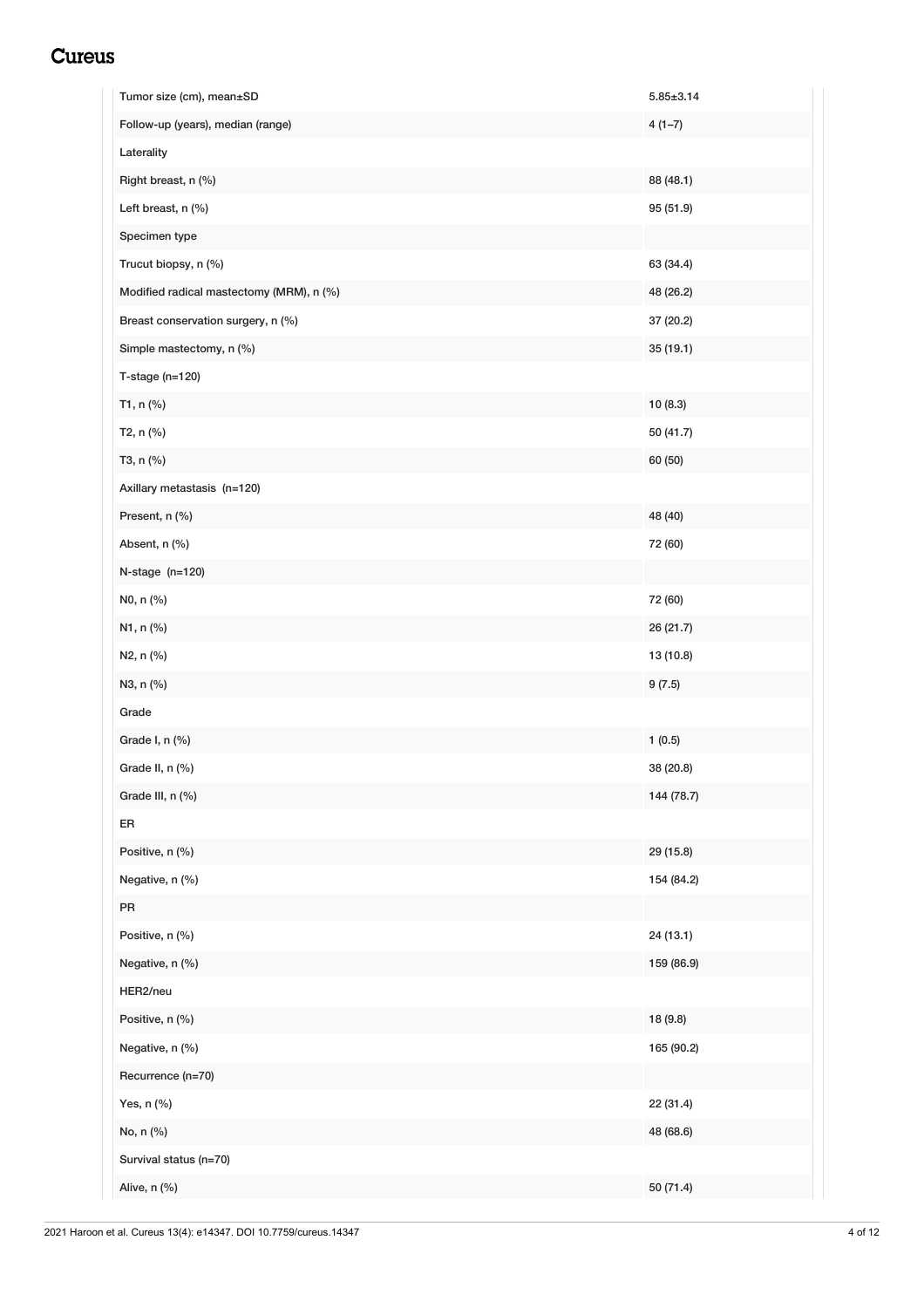<span id="page-5-0"></span>

| Tumor size (cm), mean±SD                 | $5.85 \pm 3.14$ |
|------------------------------------------|-----------------|
| Follow-up (years), median (range)        | $4(1-7)$        |
| Laterality                               |                 |
| Right breast, n (%)                      | 88 (48.1)       |
| Left breast, n (%)                       | 95 (51.9)       |
| Specimen type                            |                 |
| Trucut biopsy, n (%)                     | 63 (34.4)       |
| Modified radical mastectomy (MRM), n (%) | 48 (26.2)       |
| Breast conservation surgery, n (%)       | 37 (20.2)       |
| Simple mastectomy, n (%)                 | 35 (19.1)       |
| $T$ -stage (n=120)                       |                 |
| T1, n (%)                                | 10(8.3)         |
| T2, n (%)                                | 50 (41.7)       |
| T3, n (%)                                | 60 (50)         |
| Axillary metastasis (n=120)              |                 |
| Present, n (%)                           | 48 (40)         |
| Absent, n (%)                            | 72 (60)         |
| $N$ -stage $(n=120)$                     |                 |
| N0, n (%)                                | 72 (60)         |
| N1, n (%)                                | 26 (21.7)       |
| N2, n (%)                                | 13 (10.8)       |
| N3, n (%)                                | 9(7.5)          |
| Grade                                    |                 |
| Grade I, n (%)                           | 1(0.5)          |
| Grade II, n (%)                          | 38 (20.8)       |
| Grade III, n (%)                         | 144 (78.7)      |
| ER                                       |                 |
| Positive, n (%)                          | 29 (15.8)       |
| Negative, n (%)                          | 154 (84.2)      |
| PR                                       |                 |
| Positive, n (%)                          | 24 (13.1)       |
| Negative, n (%)                          | 159 (86.9)      |
| HER2/neu                                 |                 |
| Positive, n (%)                          | 18 (9.8)        |
| Negative, n (%)                          | 165 (90.2)      |
| Recurrence (n=70)                        |                 |
| Yes, n (%)                               | 22 (31.4)       |
| No, n (%)                                | 48 (68.6)       |
| Survival status (n=70)                   |                 |
| Alive, n (%)                             | 50 (71.4)       |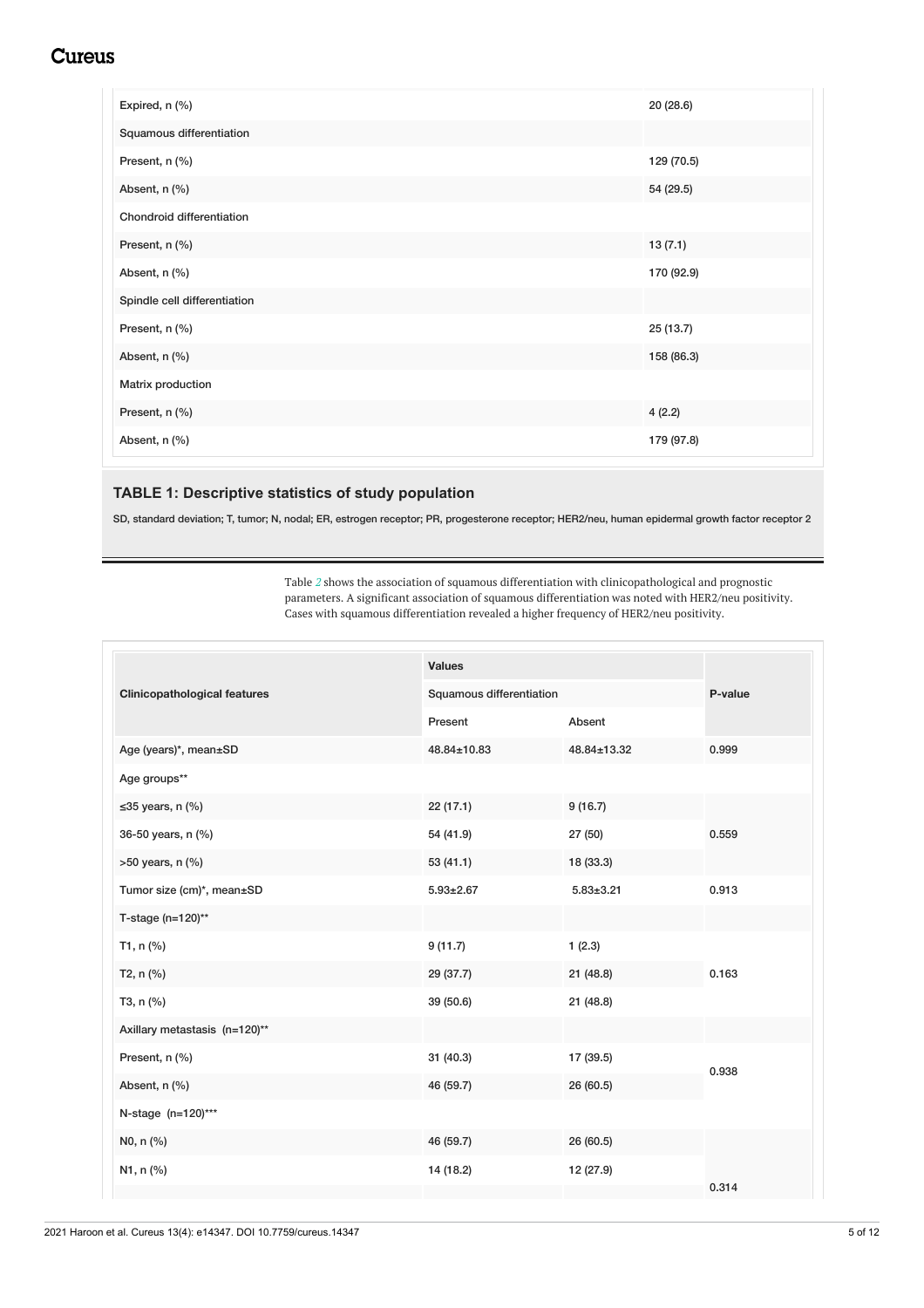<span id="page-6-0"></span>

| Expired, n (%)               | 20 (28.6)  |
|------------------------------|------------|
| Squamous differentiation     |            |
| Present, n (%)               | 129 (70.5) |
| Absent, n (%)                | 54 (29.5)  |
| Chondroid differentiation    |            |
| Present, n (%)               | 13(7.1)    |
| Absent, n (%)                | 170 (92.9) |
| Spindle cell differentiation |            |
| Present, n (%)               | 25 (13.7)  |
| Absent, n (%)                | 158 (86.3) |
| Matrix production            |            |
| Present, n (%)               | 4(2.2)     |
| Absent, n (%)                | 179 (97.8) |

#### **TABLE 1: Descriptive statistics of study population**

SD, standard deviation; T, tumor; N, nodal; ER, estrogen receptor; PR, progesterone receptor; HER2/neu, human epidermal growth factor receptor 2

Table *[2](#page-5-0)* shows the association of squamous differentiation with clinicopathological and prognostic parameters. A significant association of squamous differentiation was noted with HER2/neu positivity. Cases with squamous differentiation revealed a higher frequency of HER2/neu positivity.

|                                     | <b>Values</b>   |                          |       |
|-------------------------------------|-----------------|--------------------------|-------|
| <b>Clinicopathological features</b> |                 | Squamous differentiation |       |
|                                     | Present         | Absent                   |       |
| Age (years)*, mean±SD               | 48.84±10.83     | 48.84±13.32              | 0.999 |
| Age groups**                        |                 |                          |       |
| $\leq$ 35 years, n (%)              | 22 (17.1)       | 9(16.7)                  |       |
| 36-50 years, n (%)                  | 54 (41.9)       | 27 (50)                  | 0.559 |
| $>50$ years, n $(\%)$               | 53(41.1)        | 18 (33.3)                |       |
| Tumor size (cm)*, mean±SD           | $5.93 \pm 2.67$ | $5.83 \pm 3.21$          | 0.913 |
| T-stage (n=120)**                   |                 |                          |       |
| T1, n (%)                           | 9(11.7)         | 1(2.3)                   |       |
| $T2, n$ (%)                         | 29 (37.7)       | 21 (48.8)                | 0.163 |
| T3, n (%)                           | 39 (50.6)       | 21 (48.8)                |       |
| Axillary metastasis (n=120)**       |                 |                          |       |
| Present, n (%)                      | 31 (40.3)       | 17 (39.5)                | 0.938 |
| Absent, n (%)                       | 46 (59.7)       | 26 (60.5)                |       |
| N-stage (n=120)***                  |                 |                          |       |
| N0, n (%)                           | 46 (59.7)       | 26 (60.5)                |       |
| N1, n (%)                           | 14 (18.2)       | 12 (27.9)                |       |
|                                     |                 |                          | 0.314 |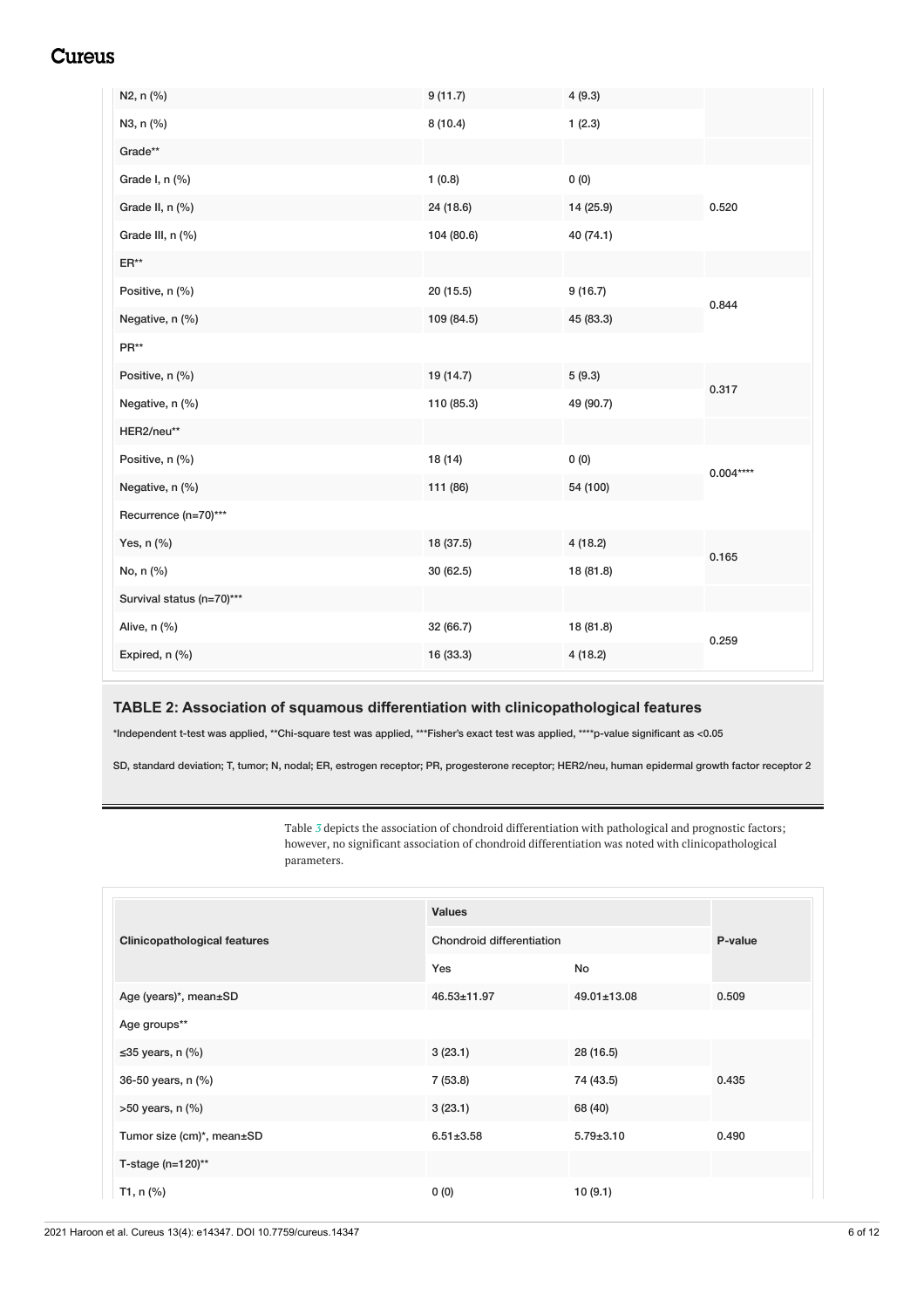<span id="page-7-0"></span>

| N2, n (%)                 | 9(11.7)    | 4(9.3)    |            |
|---------------------------|------------|-----------|------------|
| N3, n (%)                 | 8(10.4)    | 1(2.3)    |            |
| Grade**                   |            |           |            |
| Grade I, n (%)            | 1(0.8)     | 0(0)      |            |
| Grade II, n (%)           | 24 (18.6)  | 14 (25.9) | 0.520      |
| Grade III, n (%)          | 104 (80.6) | 40 (74.1) |            |
| $ER**$                    |            |           |            |
| Positive, n (%)           | 20(15.5)   | 9(16.7)   | 0.844      |
| Negative, n (%)           | 109 (84.5) | 45 (83.3) |            |
| PR**                      |            |           |            |
| Positive, n (%)           | 19 (14.7)  | 5(9.3)    | 0.317      |
| Negative, n (%)           | 110 (85.3) | 49 (90.7) |            |
| HER2/neu**                |            |           |            |
| Positive, n (%)           | 18 (14)    | 0(0)      | $0.004***$ |
| Negative, n (%)           | 111 (86)   | 54 (100)  |            |
| Recurrence (n=70)***      |            |           |            |
| Yes, n (%)                | 18 (37.5)  | 4(18.2)   | 0.165      |
| No, n (%)                 | 30 (62.5)  | 18 (81.8) |            |
| Survival status (n=70)*** |            |           |            |
| Alive, n (%)              | 32 (66.7)  | 18 (81.8) | 0.259      |
| Expired, n (%)            | 16 (33.3)  | 4(18.2)   |            |

#### **TABLE 2: Association of squamous differentiation with clinicopathological features**

\*Independent t-test was applied, \*\*Chi-square test was applied, \*\*\*Fisher's exact test was applied, \*\*\*\*p-value significant as <0.05

SD, standard deviation; T, tumor; N, nodal; ER, estrogen receptor; PR, progesterone receptor; HER2/neu, human epidermal growth factor receptor 2

Table *[3](#page-6-0)* depicts the association of chondroid differentiation with pathological and prognostic factors; however, no significant association of chondroid differentiation was noted with clinicopathological parameters.

|                                     | <b>Values</b>                    |                   |         |
|-------------------------------------|----------------------------------|-------------------|---------|
| <b>Clinicopathological features</b> | <b>Chondroid differentiation</b> |                   | P-value |
|                                     | Yes                              | No                |         |
| Age (years)*, mean±SD               | 46.53±11.97                      | $49.01 \pm 13.08$ | 0.509   |
| Age groups**                        |                                  |                   |         |
| $\leq$ 35 years, n (%)              | 3(23.1)                          | 28 (16.5)         |         |
| 36-50 years, n (%)                  | 7(53.8)                          | 74 (43.5)         | 0.435   |
| $>50$ years, n $(\%)$               | 3(23.1)                          | 68 (40)           |         |
| Tumor size (cm)*, mean±SD           | $6.51 \pm 3.58$                  | $5.79 \pm 3.10$   | 0.490   |
| T-stage $(n=120)$ **                |                                  |                   |         |
| T1, $n$ (%)                         | 0(0)                             | 10 (9.1)          |         |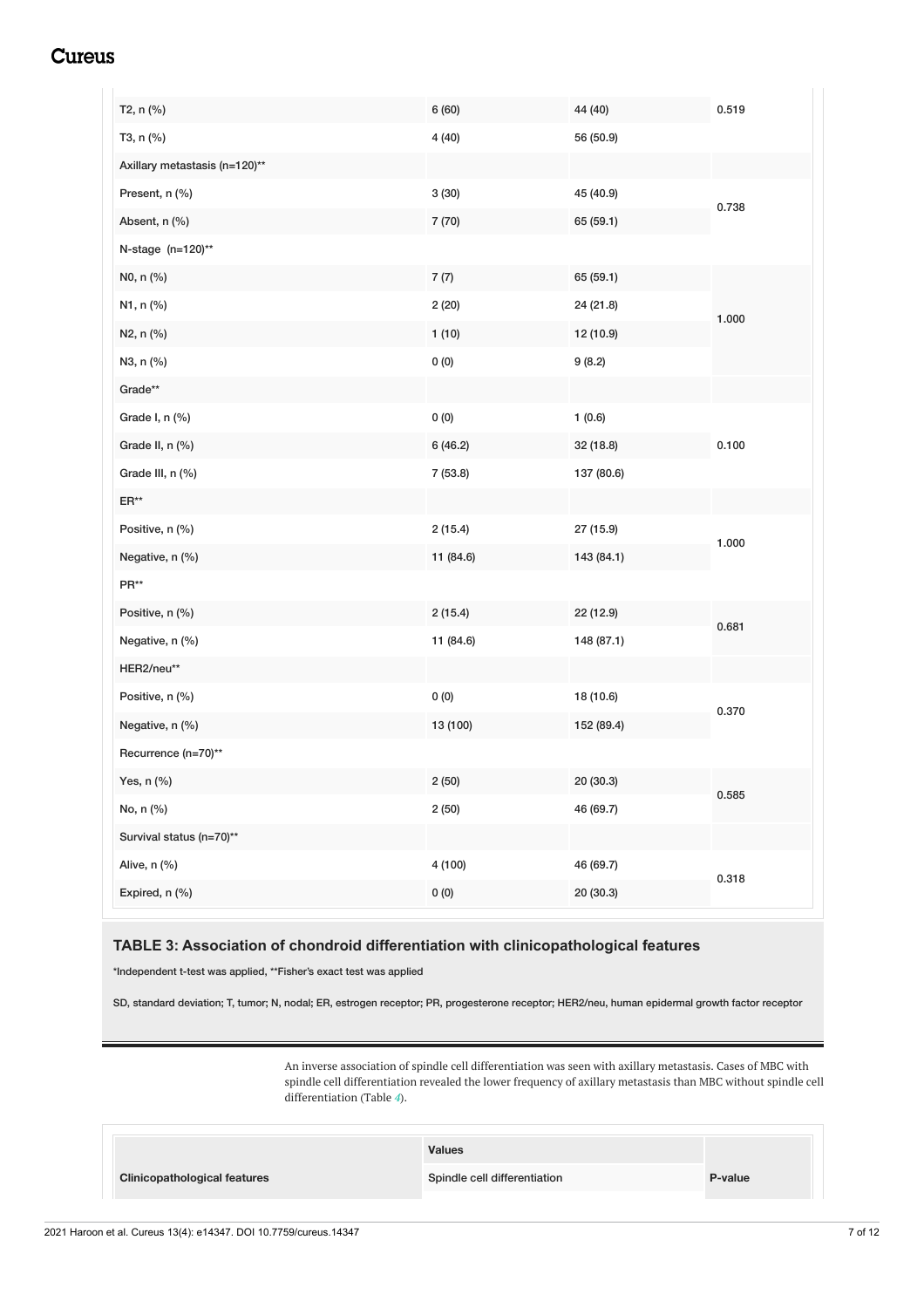<span id="page-8-0"></span>

| T2, n (%)                     | 6 (60)    | 44 (40)    | 0.519 |
|-------------------------------|-----------|------------|-------|
| T3, n (%)                     | 4(40)     | 56 (50.9)  |       |
| Axillary metastasis (n=120)** |           |            |       |
| Present, n (%)                | 3(30)     | 45 (40.9)  | 0.738 |
| Absent, n (%)                 | 7 (70)    | 65 (59.1)  |       |
| N-stage (n=120)**             |           |            |       |
| N0, n (%)                     | 7(7)      | 65 (59.1)  |       |
| N1, n (%)                     | 2(20)     | 24 (21.8)  | 1.000 |
| N2, n (%)                     | 1(10)     | 12 (10.9)  |       |
| N3, n (%)                     | $0\ (0)$  | 9(8.2)     |       |
| Grade**                       |           |            |       |
| Grade I, n (%)                | 0(0)      | 1(0.6)     |       |
| Grade II, n (%)               | 6(46.2)   | 32 (18.8)  | 0.100 |
| Grade III, n (%)              | 7(53.8)   | 137 (80.6) |       |
| $\mathsf{ER}^{\star\star}$    |           |            |       |
| Positive, n (%)               | 2(15.4)   | 27 (15.9)  | 1.000 |
| Negative, n (%)               | 11 (84.6) | 143 (84.1) |       |
| $\mathsf{PR}^{\star\star}$    |           |            |       |
| Positive, n (%)               | 2(15.4)   | 22 (12.9)  | 0.681 |
| Negative, n (%)               | 11 (84.6) | 148 (87.1) |       |
| HER2/neu**                    |           |            |       |
| Positive, n (%)               | 0(0)      | 18 (10.6)  | 0.370 |
| Negative, n (%)               | 13 (100)  | 152 (89.4) |       |
| Recurrence (n=70)**           |           |            |       |
| Yes, n (%)                    | 2(50)     | 20 (30.3)  | 0.585 |
| No, n (%)                     | 2(50)     | 46 (69.7)  |       |
| Survival status (n=70)**      |           |            |       |
| Alive, n (%)                  | 4(100)    | 46 (69.7)  | 0.318 |
| Expired, n (%)                | 0(0)      | 20 (30.3)  |       |

#### **TABLE 3: Association of chondroid differentiation with clinicopathological features**

\*Independent t-test was applied, \*\*Fisher's exact test was applied

SD, standard deviation; T, tumor; N, nodal; ER, estrogen receptor; PR, progesterone receptor; HER2/neu, human epidermal growth factor receptor

An inverse association of spindle cell differentiation was seen with axillary metastasis. Cases of MBC with spindle cell differentiation revealed the lower frequency of axillary metastasis than MBC without spindle cell differentiation (Table *[4](#page-7-0)*).

|                                     | <b>Values</b>                |         |
|-------------------------------------|------------------------------|---------|
| <b>Clinicopathological features</b> | Spindle cell differentiation | P-value |
|                                     |                              |         |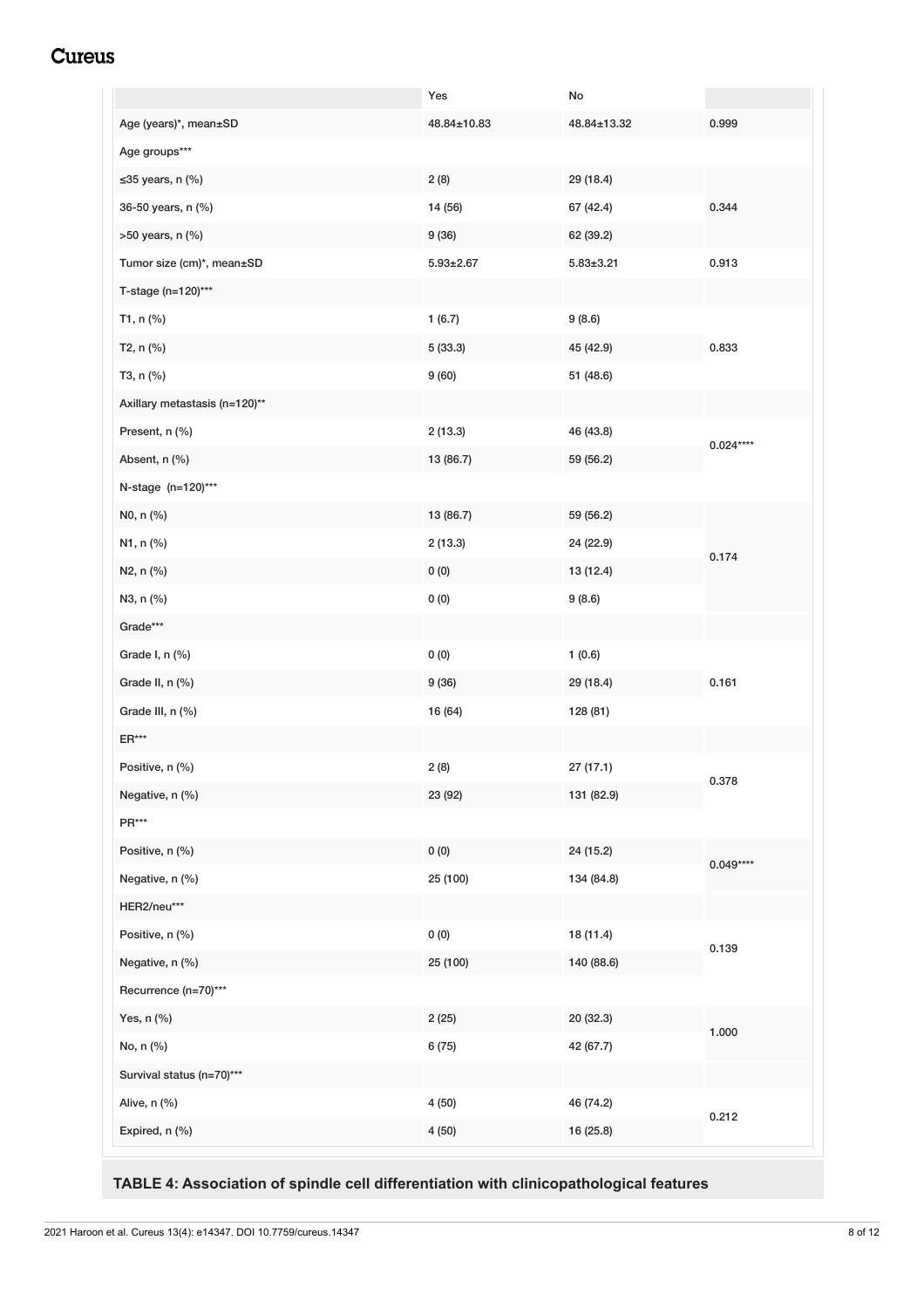<span id="page-9-0"></span>

|                               | Yes             | No              |            |
|-------------------------------|-----------------|-----------------|------------|
| Age (years)*, mean±SD         | 48.84±10.83     | 48.84±13.32     | 0.999      |
| Age groups***                 |                 |                 |            |
| $\leq$ 35 years, n (%)        | 2(8)            | 29 (18.4)       |            |
| 36-50 years, n (%)            | 14 (56)         | 67 (42.4)       | 0.344      |
| >50 years, n (%)              | 9(36)           | 62 (39.2)       |            |
| Tumor size (cm)*, mean±SD     | $5.93 \pm 2.67$ | $5.83 \pm 3.21$ | 0.913      |
| T-stage (n=120)***            |                 |                 |            |
| T1, n (%)                     | 1(6.7)          | 9(8.6)          |            |
| T2, n (%)                     | 5(33.3)         | 45 (42.9)       | 0.833      |
| T3, n (%)                     | 9(60)           | 51 (48.6)       |            |
| Axillary metastasis (n=120)** |                 |                 |            |
| Present, n (%)                | 2(13.3)         | 46 (43.8)       |            |
| Absent, n (%)                 | 13 (86.7)       | 59 (56.2)       | $0.024***$ |
| N-stage (n=120)***            |                 |                 |            |
| N0, n (%)                     | 13 (86.7)       | 59 (56.2)       |            |
| N1, n (%)                     | 2(13.3)         | 24 (22.9)       |            |
| N2, n (%)                     | 0(0)            | 13 (12.4)       | 0.174      |
| N3, n (%)                     | 0(0)            | 9(8.6)          |            |
| Grade***                      |                 |                 |            |
| Grade I, n (%)                | 0(0)            | 1(0.6)          |            |
| Grade II, n (%)               | 9(36)           | 29 (18.4)       | 0.161      |
| Grade III, n (%)              | 16 (64)         | 128 (81)        |            |
| $ER***$                       |                 |                 |            |
| Positive, n (%)               | 2(8)            | 27 (17.1)       |            |
| Negative, n (%)               | 23 (92)         | 131 (82.9)      | 0.378      |
| $\mathsf{PR}^{***}$           |                 |                 |            |
| Positive, n (%)               | 0(0)            | 24 (15.2)       |            |
| Negative, n (%)               | 25 (100)        | 134 (84.8)      | $0.049***$ |
| HER2/neu***                   |                 |                 |            |
| Positive, n (%)               | 0(0)            | 18 (11.4)       |            |
| Negative, n (%)               | 25 (100)        | 140 (88.6)      | 0.139      |
| Recurrence (n=70)***          |                 |                 |            |
| Yes, n (%)                    | 2(25)           | 20 (32.3)       |            |
| No, n (%)                     | 6 (75)          | 42 (67.7)       | 1.000      |
| Survival status (n=70)***     |                 |                 |            |
| Alive, n (%)                  | 4(50)           | 46 (74.2)       |            |
| Expired, n (%)                | 4(50)           | 16 (25.8)       | 0.212      |
|                               |                 |                 |            |

**TABLE 4: Association of spindle cell differentiation with clinicopathological features**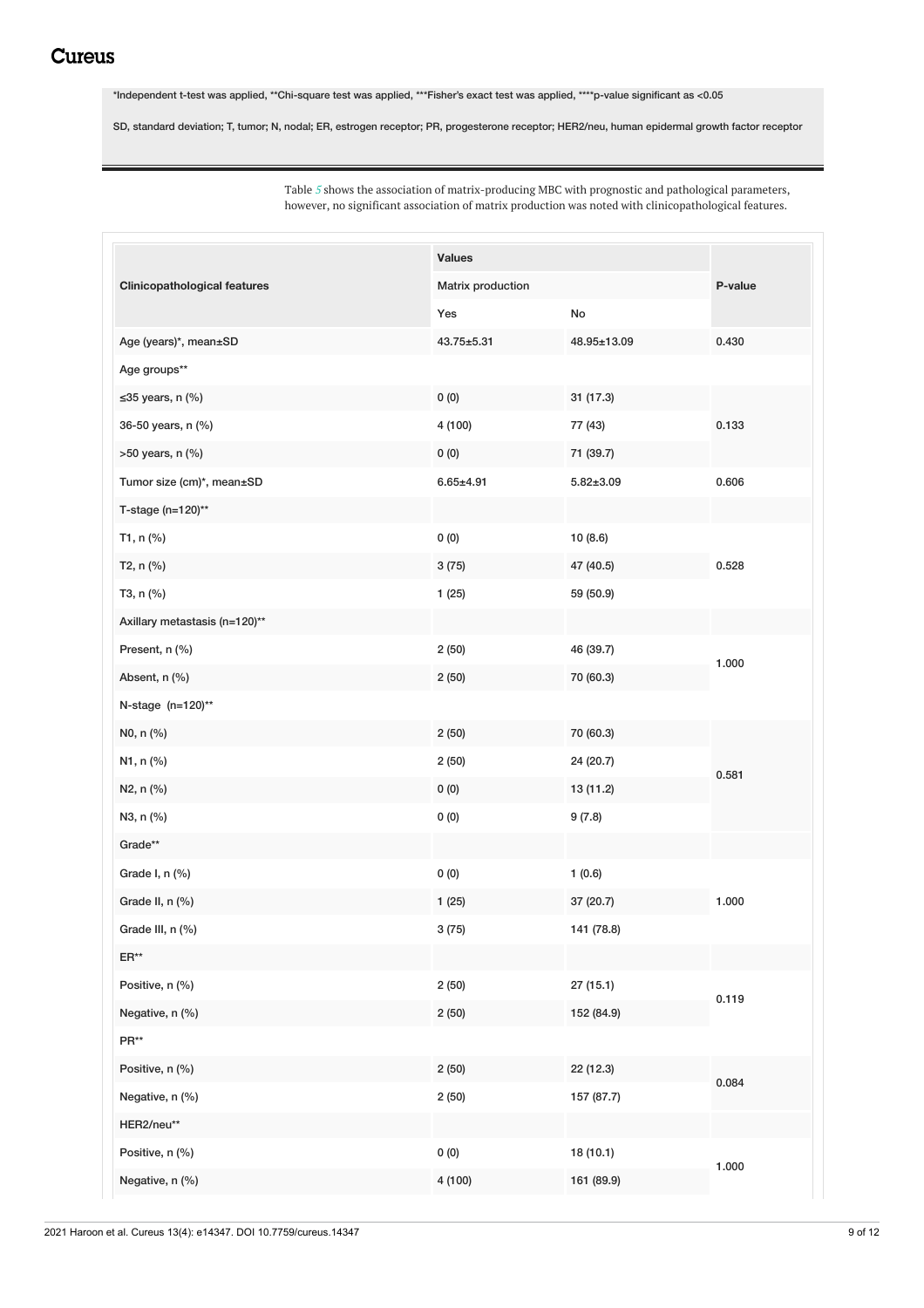\*Independent t-test was applied, \*\*Chi-square test was applied, \*\*\*Fisher's exact test was applied, \*\*\*\*p-value significant as <0.05

SD, standard deviation; T, tumor; N, nodal; ER, estrogen receptor; PR, progesterone receptor; HER2/neu, human epidermal growth factor receptor

Table *[5](#page-8-0)* shows the association of matrix-producing MBC with prognostic and pathological parameters, however, no significant association of matrix production was noted with clinicopathological features.

|                                     | <b>Values</b>     |                 | P-value |
|-------------------------------------|-------------------|-----------------|---------|
| <b>Clinicopathological features</b> | Matrix production |                 |         |
|                                     | Yes               | No              |         |
| Age (years)*, mean±SD               | $43.75 + 5.31$    | 48.95±13.09     | 0.430   |
| Age groups**                        |                   |                 |         |
| $\leq$ 35 years, n (%)              | 0(0)              | 31(17.3)        |         |
| 36-50 years, n (%)                  | 4 (100)           | 77 (43)         | 0.133   |
| >50 years, n (%)                    | 0(0)              | 71 (39.7)       |         |
| Tumor size (cm)*, mean±SD           | $6.65 \pm 4.91$   | $5.82 \pm 3.09$ | 0.606   |
| T-stage (n=120)**                   |                   |                 |         |
| T1, n (%)                           | 0(0)              | 10 (8.6)        |         |
| T2, n (%)                           | 3(75)             | 47 (40.5)       | 0.528   |
| T3, n (%)                           | 1(25)             | 59 (50.9)       |         |
| Axillary metastasis (n=120)**       |                   |                 |         |
| Present, n (%)                      | 2(50)             | 46 (39.7)       |         |
| Absent, n (%)                       | 2(50)             | 70 (60.3)       | 1.000   |
| N-stage (n=120)**                   |                   |                 |         |
| N0, n (%)                           | 2(50)             | 70 (60.3)       |         |
| N1, n (%)                           | 2(50)             | 24 (20.7)       | 0.581   |
| N2, n (%)                           | 0(0)              | 13 (11.2)       |         |
| N3, n (%)                           | 0(0)              | 9(7.8)          |         |
| Grade**                             |                   |                 |         |
| Grade I, n (%)                      | 0(0)              | 1(0.6)          |         |
| Grade II, n (%)                     | 1(25)             | 37 (20.7)       | 1.000   |
| Grade III, n (%)                    | 3(75)             | 141 (78.8)      |         |
| $\mathsf{ER}^{\star\star}$          |                   |                 |         |
| Positive, n (%)                     | 2(50)             | 27 (15.1)       | 0.119   |
| Negative, n (%)                     | 2(50)             | 152 (84.9)      |         |
| PR**                                |                   |                 |         |
| Positive, n (%)                     | 2(50)             | 22 (12.3)       | 0.084   |
| Negative, n (%)                     | 2(50)             | 157 (87.7)      |         |
| HER2/neu**                          |                   |                 |         |
| Positive, n (%)                     | 0(0)              | 18 (10.1)       | 1.000   |
| Negative, n (%)                     | 4 (100)           | 161 (89.9)      |         |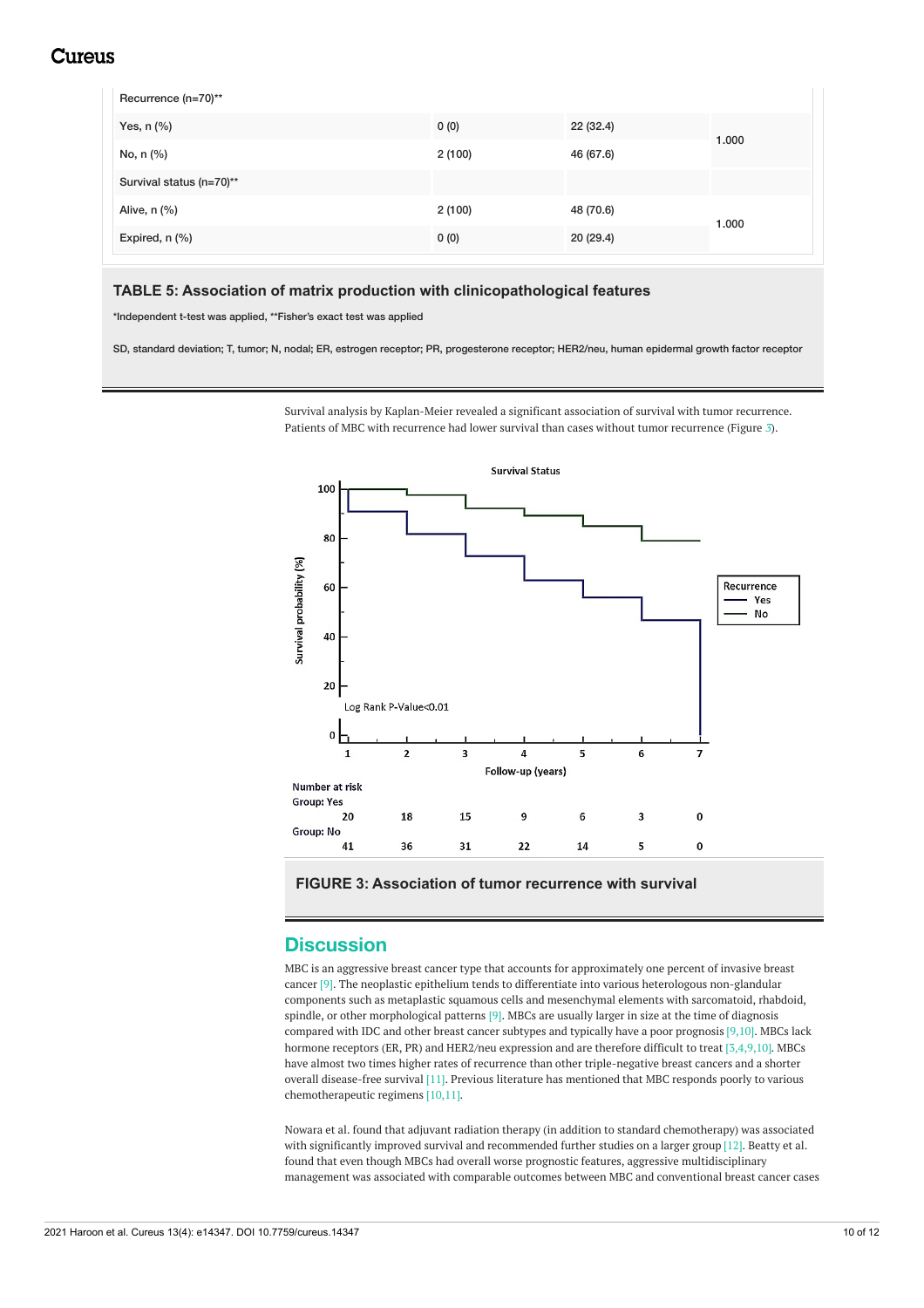| Recurrence (n=70)**      |        |           |       |
|--------------------------|--------|-----------|-------|
| Yes, $n$ $%$             | 0(0)   | 22 (32.4) | 1.000 |
| No, n (%)                | 2(100) | 46 (67.6) |       |
| Survival status (n=70)** |        |           |       |
| Alive, n (%)             | 2(100) | 48 (70.6) | 1.000 |
| Expired, n (%)           | 0(0)   | 20(29.4)  |       |

#### **TABLE 5: Association of matrix production with clinicopathological features**

\*Independent t-test was applied, \*\*Fisher's exact test was applied

SD, standard deviation; T, tumor; N, nodal; ER, estrogen receptor; PR, progesterone receptor; HER2/neu, human epidermal growth factor receptor

Survival analysis by Kaplan-Meier revealed a significant association of survival with tumor recurrence. Patients of MBC with recurrence had lower survival than cases without tumor recurrence (Figure *[3](#page-9-0)*).



**FIGURE 3: Association of tumor recurrence with survival**

#### **Discussion**

MBC is an aggressive breast cancer type that accounts for approximately one percent of invasive breast cancer [9]. The neoplastic epithelium tends to differentiate into various heterologous non-glandular components such as metaplastic squamous cells and mesenchymal elements with sarcomatoid, rhabdoid, spindle, or other morphological patterns [9]. MBCs are usually larger in size at the time of diagnosis compared with IDC and other breast cancer subtypes and typically have a poor prognosis [9,10]. MBCs lack hormone receptors (ER, PR) and HER2/neu expression and are therefore difficult to treat [3,4,9,10]. MBCs have almost two times higher rates of recurrence than other triple-negative breast cancers and a shorter overall disease-free survival [11]. Previous literature has mentioned that MBC responds poorly to various chemotherapeutic regimens [10,11].

Nowara et al. found that adjuvant radiation therapy (in addition to standard chemotherapy) was associated with significantly improved survival and recommended further studies on a larger group [12]. Beatty et al. found that even though MBCs had overall worse prognostic features, aggressive multidisciplinary management was associated with comparable outcomes between MBC and conventional breast cancer cases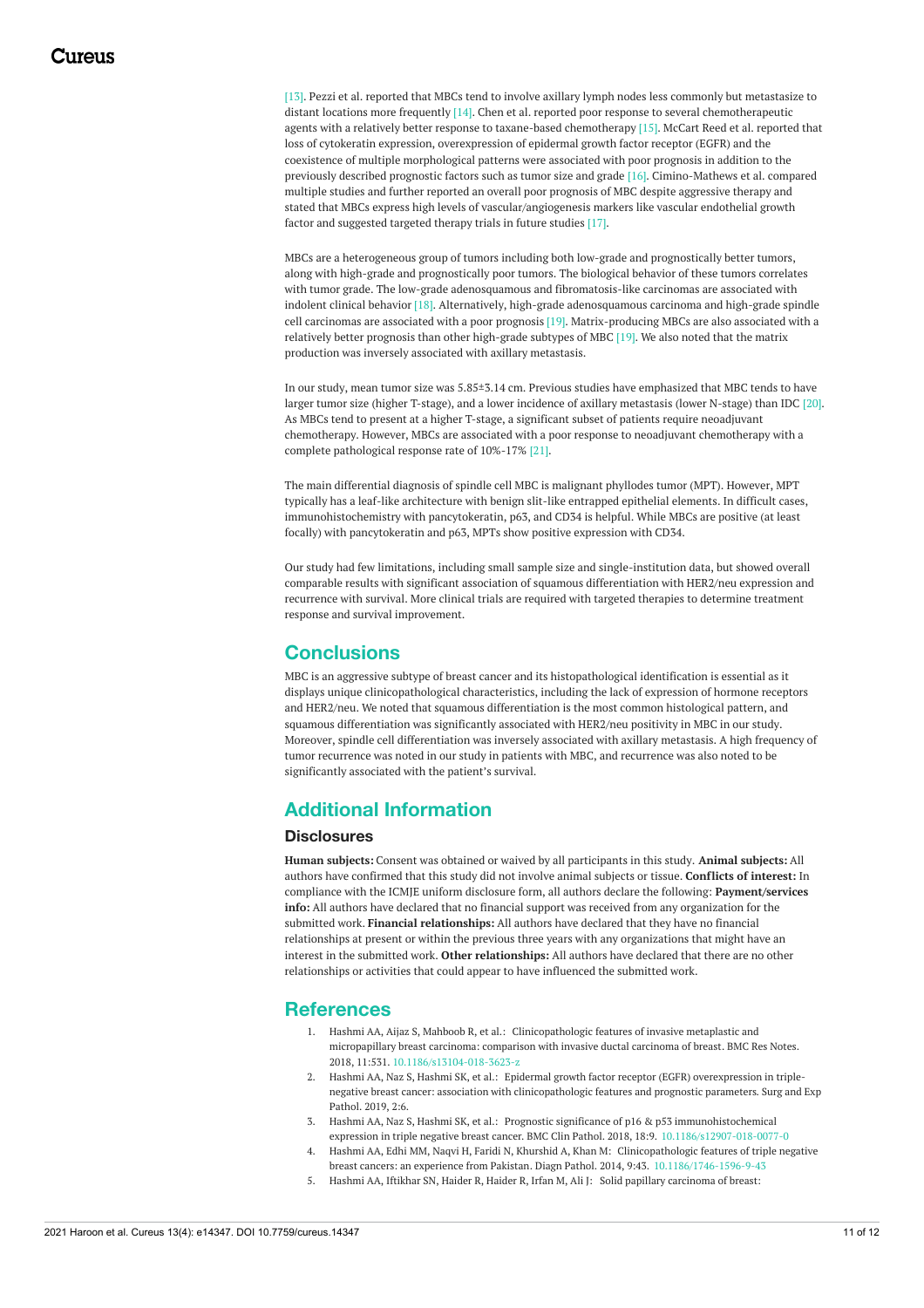[13]. Pezzi et al. reported that MBCs tend to involve axillary lymph nodes less commonly but metastasize to distant locations more frequently [14]. Chen et al. reported poor response to several chemotherapeutic agents with a relatively better response to taxane-based chemotherapy [15]. McCart Reed et al. reported that loss of cytokeratin expression, overexpression of epidermal growth factor receptor (EGFR) and the coexistence of multiple morphological patterns were associated with poor prognosis in addition to the previously described prognostic factors such as tumor size and grade [16]. Cimino-Mathews et al. compared multiple studies and further reported an overall poor prognosis of MBC despite aggressive therapy and stated that MBCs express high levels of vascular/angiogenesis markers like vascular endothelial growth factor and suggested targeted therapy trials in future studies [17].

MBCs are a heterogeneous group of tumors including both low-grade and prognostically better tumors, along with high-grade and prognostically poor tumors. The biological behavior of these tumors correlates with tumor grade. The low-grade adenosquamous and fibromatosis-like carcinomas are associated with indolent clinical behavior [18]. Alternatively, high-grade adenosquamous carcinoma and high-grade spindle cell carcinomas are associated with a poor prognosis [19]. Matrix-producing MBCs are also associated with a relatively better prognosis than other high-grade subtypes of MBC [19]. We also noted that the matrix production was inversely associated with axillary metastasis.

In our study, mean tumor size was 5.85±3.14 cm. Previous studies have emphasized that MBC tends to have larger tumor size (higher T-stage), and a lower incidence of axillary metastasis (lower N-stage) than IDC [20]. As MBCs tend to present at a higher T-stage, a significant subset of patients require neoadjuvant chemotherapy. However, MBCs are associated with a poor response to neoadjuvant chemotherapy with a complete pathological response rate of 10%-17% [21].

The main differential diagnosis of spindle cell MBC is malignant phyllodes tumor (MPT). However, MPT typically has a leaf-like architecture with benign slit-like entrapped epithelial elements. In difficult cases, immunohistochemistry with pancytokeratin, p63, and CD34 is helpful. While MBCs are positive (at least focally) with pancytokeratin and p63, MPTs show positive expression with CD34.

Our study had few limitations, including small sample size and single-institution data, but showed overall comparable results with significant association of squamous differentiation with HER2/neu expression and recurrence with survival. More clinical trials are required with targeted therapies to determine treatment response and survival improvement.

### **Conclusions**

MBC is an aggressive subtype of breast cancer and its histopathological identification is essential as it displays unique clinicopathological characteristics, including the lack of expression of hormone receptors and HER2/neu. We noted that squamous differentiation is the most common histological pattern, and squamous differentiation was significantly associated with HER2/neu positivity in MBC in our study. Moreover, spindle cell differentiation was inversely associated with axillary metastasis. A high frequency of tumor recurrence was noted in our study in patients with MBC, and recurrence was also noted to be significantly associated with the patient's survival.

### **Additional Information**

#### **Disclosures**

**Human subjects:** Consent was obtained or waived by all participants in this study. **Animal subjects:** All authors have confirmed that this study did not involve animal subjects or tissue. **Conflicts of interest:** In compliance with the ICMJE uniform disclosure form, all authors declare the following: **Payment/services info:** All authors have declared that no financial support was received from any organization for the submitted work. **Financial relationships:** All authors have declared that they have no financial relationships at present or within the previous three years with any organizations that might have an interest in the submitted work. **Other relationships:** All authors have declared that there are no other relationships or activities that could appear to have influenced the submitted work.

#### **References**

- 1. Hashmi AA, Aijaz S, Mahboob R, et al.: [Clinicopathologic](https://dx.doi.org/10.1186/s13104-018-3623-z) features of invasive metaplastic and micropapillary breast carcinoma: comparison with invasive ductal carcinoma of breast. BMC Res Notes. 2018, 11:531. [10.1186/s13104-018-3623-z](https://dx.doi.org/10.1186/s13104-018-3623-z)
- 2. Hashmi AA, Naz S, Hashmi SK, et al.: Epidermal growth factor receptor (EGFR) overexpression in triplenegative breast cancer: association with [clinicopathologic](https://doi.org/10.1186/s42047-018-0029-0) features and prognostic parameters. Surg and Exp Pathol. 2019, 2:6.
- 3. Hashmi AA, Naz S, Hashmi SK, et al.: Prognostic significance of p16 & p53 immunohistochemical expression in triple negative breast cancer. BMC Clin Pathol. 2018, 18:9. [10.1186/s12907-018-0077-0](https://dx.doi.org/10.1186/s12907-018-0077-0)
- 4. Hashmi AA, Edhi MM, Naqvi H, Faridi N, Khurshid A, Khan M: Clinicopathologic features of triple negative breast cancers: an experience from Pakistan. Diagn Pathol. 2014, 9:43. [10.1186/1746-1596-9-43](https://dx.doi.org/10.1186/1746-1596-9-43)
- 5. Hashmi AA, Iftikhar SN, Haider R, Haider R, Irfan M, Ali J: Solid papillary [carcinoma](https://dx.doi.org/10.7759/cureus.11172) of breast: